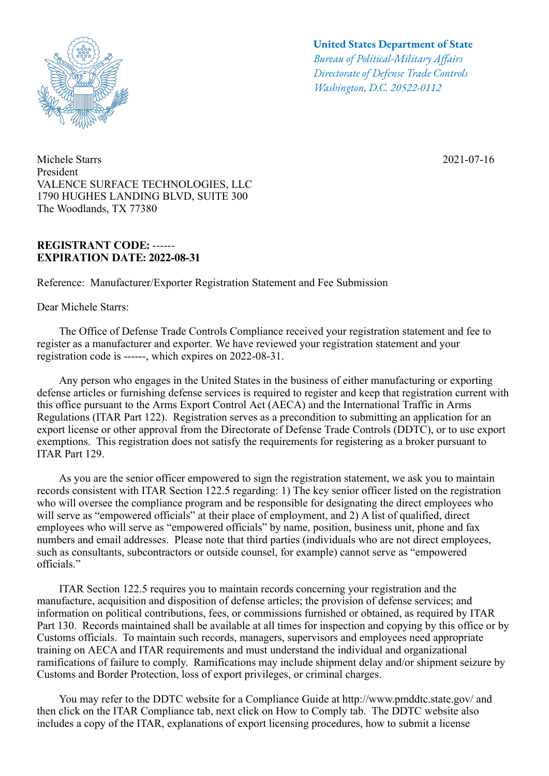

Michele Starrs 2021-07-16 President VALENCE SURFACE TECHNOLOGIES, LLC 1790 HUGHES LANDING BLVD, SUITE 300 The Woodlands, TX 77380

## **REGISTRANT CODE: ------ EXPIRATION DATE: 2022-08-31**

Reference: Manufacturer/Exporter Registration Statement and Fee Submission

Dear Michele Starrs:

## **United States Department of State**

*Bureau of Political-Military Afairs Directorate of Defense Trade Controls Washington, D.C. 20522-0112*

 The Office of Defense Trade Controls Compliance received your registration statement and fee to register as a manufacturer and exporter. We have reviewed your registration statement and your registration code is ------, which expires on 2022-08-31.

 Any person who engages in the United States in the business of either manufacturing or exporting defense articles or furnishing defense services is required to register and keep that registration current with this office pursuant to the Arms Export Control Act (AECA) and the International Traffic in Arms Regulations (ITAR Part 122). Registration serves as a precondition to submitting an application for an export license or other approval from the Directorate of Defense Trade Controls (DDTC), or to use export exemptions. This registration does not satisfy the requirements for registering as a broker pursuant to ITAR Part 129.

 As you are the senior officer empowered to sign the registration statement, we ask you to maintain records consistent with ITAR Section 122.5 regarding: 1) The key senior officer listed on the registration who will oversee the compliance program and be responsible for designating the direct employees who will serve as "empowered officials" at their place of employment, and 2) A list of qualified, direct employees who will serve as "empowered officials" by name, position, business unit, phone and fax numbers and email addresses. Please note that third parties (individuals who are not direct employees, such as consultants, subcontractors or outside counsel, for example) cannot serve as "empowered officials."

 ITAR Section 122.5 requires you to maintain records concerning your registration and the manufacture, acquisition and disposition of defense articles; the provision of defense services; and information on political contributions, fees, or commissions furnished or obtained, as required by ITAR Part 130. Records maintained shall be available at all times for inspection and copying by this office or by Customs officials. To maintain such records, managers, supervisors and employees need appropriate training on AECA and ITAR requirements and must understand the individual and organizational ramifications of failure to comply. Ramifications may include shipment delay and/or shipment seizure by Customs and Border Protection, loss of export privileges, or criminal charges.

 You may refer to the DDTC website for a Compliance Guide at http://www.pmddtc.state.gov/ and then click on the ITAR Compliance tab, next click on How to Comply tab. The DDTC website also includes a copy of the ITAR, explanations of export licensing procedures, how to submit a license